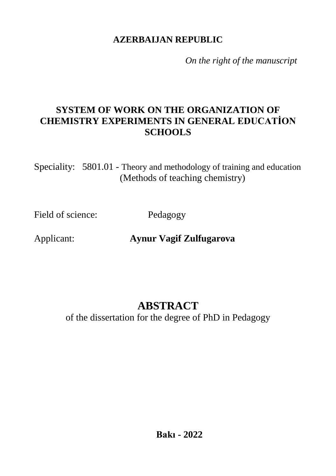### **AZERBAIJAN REPUBLIC**

*On the right of the manuscript*

## **SYSTEM OF WORK ON THE ORGANIZATION OF CHEMISTRY EXPERIMENTS IN GENERAL EDUCATİON SCHOOLS**

Speciality: 5801.01 - Theory and methodology of training and education (Methods of teaching chemistry)

Field of science: Pedagogy

Applicant: **Aynur Vagif Zulfugarova**

# **ABSTRACT**

of the dissertation for the degree of PhD in Pedagogy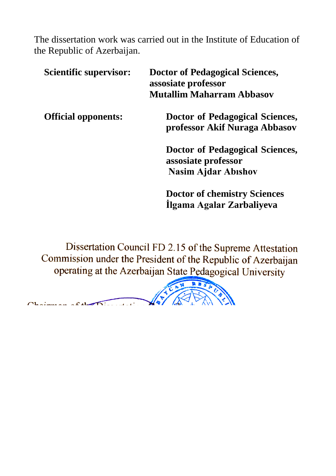The dissertation work was carried out in the Institute of Education of the Republic of Azerbaijan.

| Scientific supervisor:     | <b>Doctor of Pedagogical Sciences,</b><br>assosiate professor<br><b>Mutallim Maharram Abbasov</b> |
|----------------------------|---------------------------------------------------------------------------------------------------|
| <b>Official opponents:</b> | Doctor of Pedagogical Sciences,<br>professor Akif Nuraga Abbasov                                  |
|                            | Doctor of Pedagogical Sciences,<br>assosiate professor<br><b>Nasim Ajdar Abishov</b>              |
|                            | <b>Doctor of chemistry Sciences</b><br>Ilgama Agalar Zarbaliyeva                                  |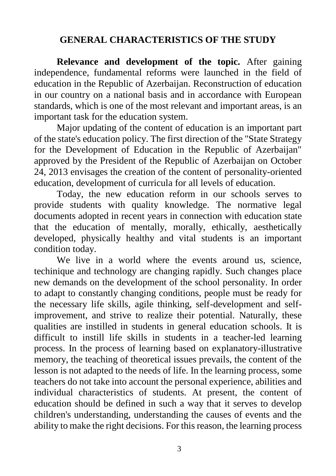### **GENERAL CHARACTERISTICS OF THE STUDY**

**Relevance and development of the topic.** After gaining independence, fundamental reforms were launched in the field of education in the Republic of Azerbaijan. Reconstruction of education in our country on a national basis and in accordance with European standards, which is one of the most relevant and important areas, is an important task for the education system.

Major updating of the content of education is an important part of the state's education policy. The first direction of the "State Strategy for the Development of Education in the Republic of Azerbaijan" approved by the President of the Republic of Azerbaijan on October 24, 2013 envisages the creation of the content of personality-oriented education, development of curricula for all levels of education.

Today, the new education reform in our schools serves to provide students with quality knowledge. The normative legal documents adopted in recent years in connection with education state that the education of mentally, morally, ethically, aesthetically developed, physically healthy and vital students is an important condition today.

We live in a world where the events around us, science, techinique and technology are changing rapidly. Such changes place new demands on the development of the school personality. In order to adapt to constantly changing conditions, people must be ready for the necessary life skills, agile thinking, self-development and selfimprovement, and strive to realize their potential. Naturally, these qualities are instilled in students in general education schools. It is difficult to instill life skills in students in a teacher-led learning process. In the process of learning based on explanatory-illustrative memory, the teaching of theoretical issues prevails, the content of the lesson is not adapted to the needs of life. In the learning process, some teachers do not take into account the personal experience, abilities and individual characteristics of students. At present, the content of education should be defined in such a way that it serves to develop children's understanding, understanding the causes of events and the ability to make the right decisions. For this reason, the learning process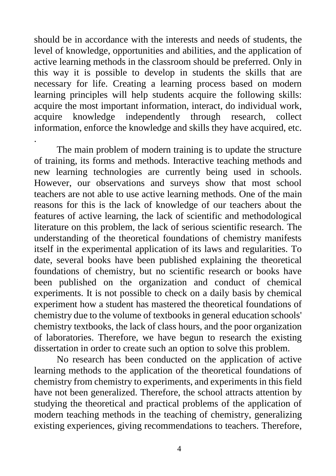should be in accordance with the interests and needs of students, the level of knowledge, opportunities and abilities, and the application of active learning methods in the classroom should be preferred. Only in this way it is possible to develop in students the skills that are necessary for life. Creating a learning process based on modern learning principles will help students acquire the following skills: acquire the most important information, interact, do individual work, acquire knowledge independently through research, collect information, enforce the knowledge and skills they have acquired, etc.

.

The main problem of modern training is to update the structure of training, its forms and methods. Interactive teaching methods and new learning technologies are currently being used in schools. However, our observations and surveys show that most school teachers are not able to use active learning methods. One of the main reasons for this is the lack of knowledge of our teachers about the features of active learning, the lack of scientific and methodological literature on this problem, the lack of serious scientific research. The understanding of the theoretical foundations of chemistry manifests itself in the experimental application of its laws and regularities. To date, several books have been published explaining the theoretical foundations of chemistry, but no scientific research or books have been published on the organization and conduct of chemical experiments. It is not possible to check on a daily basis by chemical experiment how a student has mastered the theoretical foundations of chemistry due to the volume of textbooks in general education schools' chemistry textbooks, the lack of class hours, and the poor organization of laboratories. Therefore, we have begun to research the existing dissertation in order to create such an option to solve this problem.

No research has been conducted on the application of active learning methods to the application of the theoretical foundations of chemistry from chemistry to experiments, and experiments in this field have not been generalized. Therefore, the school attracts attention by studying the theoretical and practical problems of the application of modern teaching methods in the teaching of chemistry, generalizing existing experiences, giving recommendations to teachers. Therefore,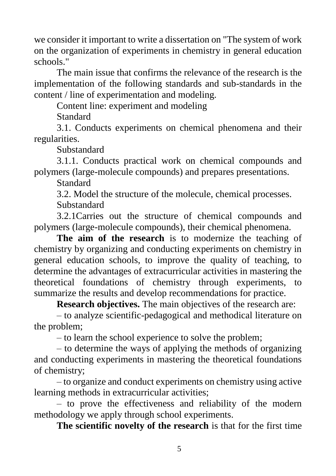we consider it important to write a dissertation on "The system of work on the organization of experiments in chemistry in general education schools."

The main issue that confirms the relevance of the research is the implementation of the following standards and sub-standards in the content / line of experimentation and modeling.

Content line: experiment and modeling

Standard

3.1. Conducts experiments on chemical phenomena and their regularities.

Substandard

3.1.1. Conducts practical work on chemical compounds and polymers (large-molecule compounds) and prepares presentations.

Standard

3.2. Model the structure of the molecule, chemical processes.

Substandard

3.2.1Carries out the structure of chemical compounds and polymers (large-molecule compounds), their chemical phenomena.

**The aim of the research** is to modernize the teaching of chemistry by organizing and conducting experiments on chemistry in general education schools, to improve the quality of teaching, to determine the advantages of extracurricular activities in mastering the theoretical foundations of chemistry through experiments, to summarize the results and develop recommendations for practice.

**Research objectives.** The main objectives of the research are:

– to analyze scientific-pedagogical and methodical literature on the problem;

– to learn the school experience to solve the problem;

– to determine the ways of applying the methods of organizing and conducting experiments in mastering the theoretical foundations of chemistry;

– to organize and conduct experiments on chemistry using active learning methods in extracurricular activities;

– to prove the effectiveness and reliability of the modern methodology we apply through school experiments.

**The scientific novelty of the research** is that for the first time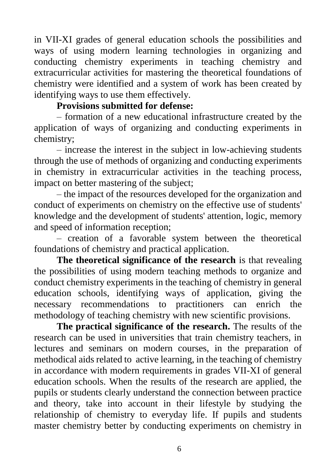in VII-XI grades of general education schools the possibilities and ways of using modern learning technologies in organizing and conducting chemistry experiments in teaching chemistry and extracurricular activities for mastering the theoretical foundations of chemistry were identified and a system of work has been created by identifying ways to use them effectively.

#### **Provisions submitted for defense:**

– formation of a new educational infrastructure created by the application of ways of organizing and conducting experiments in chemistry;

– increase the interest in the subject in low-achieving students through the use of methods of organizing and conducting experiments in chemistry in extracurricular activities in the teaching process, impact on better mastering of the subject;

– the impact of the resources developed for the organization and conduct of experiments on chemistry on the effective use of students' knowledge and the development of students' attention, logic, memory and speed of information reception;

– creation of a favorable system between the theoretical foundations of chemistry and practical application.

**The theoretical significance of the research** is that revealing the possibilities of using modern teaching methods to organize and conduct chemistry experiments in the teaching of chemistry in general education schools, identifying ways of application, giving the necessary recommendations to practitioners can enrich the methodology of teaching chemistry with new scientific provisions.

**The practical significance of the research.** The results of the research can be used in universities that train chemistry teachers, in lectures and seminars on modern courses, in the preparation of methodical aids related to active learning, in the teaching of chemistry in accordance with modern requirements in grades VII-XI of general education schools. When the results of the research are applied, the pupils or students clearly understand the connection between practice and theory, take into account in their lifestyle by studying the relationship of chemistry to everyday life. If pupils and students master chemistry better by conducting experiments on chemistry in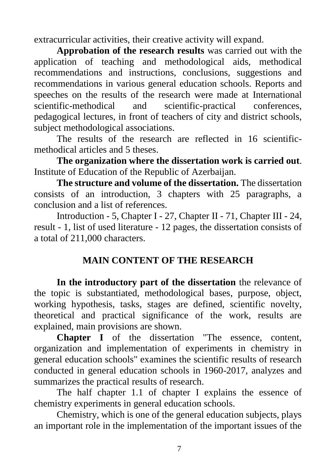extracurricular activities, their creative activity will expand.

**Approbation of the research results** was carried out with the application of teaching and methodological aids, methodical recommendations and instructions, conclusions, suggestions and recommendations in various general education schools. Reports and speeches on the results of the research were made at International scientific-methodical and scientific-practical conferences, pedagogical lectures, in front of teachers of city and district schools, subject methodological associations.

The results of the research are reflected in 16 scientificmethodical articles and 5 theses.

**The organization where the dissertation work is carried out**. Institute of Education of the Republic of Azerbaijan.

**The structure and volume of the dissertation.** The dissertation consists of an introduction, 3 chapters with 25 paragraphs, a conclusion and a list of references.

Introduction - 5, Chapter I - 27, Chapter II - 71, Chapter III - 24, result - 1, list of used literature - 12 pages, the dissertation consists of a total of 211,000 characters.

## **MAIN CONTENT OF THE RESEARCH**

**In the introductory part of the dissertation** the relevance of the topic is substantiated, methodological bases, purpose, object, working hypothesis, tasks, stages are defined, scientific novelty, theoretical and practical significance of the work, results are explained, main provisions are shown.

**Chapter I** of the dissertation "The essence, content, organization and implementation of experiments in chemistry in general education schools" examines the scientific results of research conducted in general education schools in 1960-2017, analyzes and summarizes the practical results of research.

The half chapter 1.1 of chapter I explains the essence of chemistry experiments in general education schools.

Chemistry, which is one of the general education subjects, plays an important role in the implementation of the important issues of the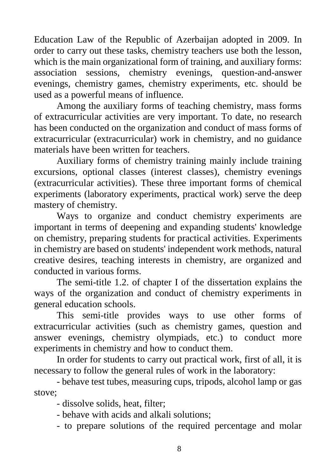Education Law of the Republic of Azerbaijan adopted in 2009. In order to carry out these tasks, chemistry teachers use both the lesson, which is the main organizational form of training, and auxiliary forms: association sessions, chemistry evenings, question-and-answer evenings, chemistry games, chemistry experiments, etc. should be used as a powerful means of influence.

Among the auxiliary forms of teaching chemistry, mass forms of extracurricular activities are very important. To date, no research has been conducted on the organization and conduct of mass forms of extracurricular (extracurricular) work in chemistry, and no guidance materials have been written for teachers.

Auxiliary forms of chemistry training mainly include training excursions, optional classes (interest classes), chemistry evenings (extracurricular activities). These three important forms of chemical experiments (laboratory experiments, practical work) serve the deep mastery of chemistry.

Ways to organize and conduct chemistry experiments are important in terms of deepening and expanding students' knowledge on chemistry, preparing students for practical activities. Experiments in chemistry are based on students' independent work methods, natural creative desires, teaching interests in chemistry, are organized and conducted in various forms.

The semi-title 1.2. of chapter I of the dissertation explains the ways of the organization and conduct of chemistry experiments in general education schools.

This semi-title provides ways to use other forms of extracurricular activities (such as chemistry games, question and answer evenings, chemistry olympiads, etc.) to conduct more experiments in chemistry and how to conduct them.

In order for students to carry out practical work, first of all, it is necessary to follow the general rules of work in the laboratory:

- behave test tubes, measuring cups, tripods, alcohol lamp or gas stove;

- dissolve solids, heat, filter;

- behave with acids and alkali solutions;

- to prepare solutions of the required percentage and molar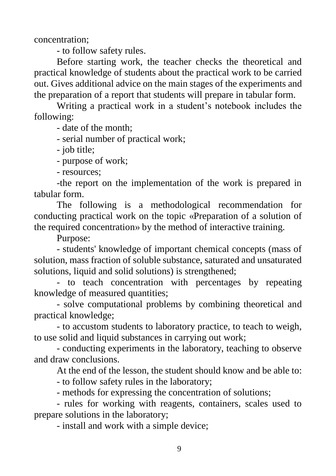concentration;

- to follow safety rules.

Before starting work, the teacher checks the theoretical and practical knowledge of students about the practical work to be carried out. Gives additional advice on the main stages of the experiments and the preparation of a report that students will prepare in tabular form.

Writing a practical work in a student's notebook includes the following:

- date of the month;

- serial number of practical work;

- job title;

- purpose of work;

- resources;

-the report on the implementation of the work is prepared in tabular form.

The following is a methodological recommendation for conducting practical work on the topic «Preparation of a solution of the required concentration» by the method of interactive training.

Purpose:

- students' knowledge of important chemical concepts (mass of solution, mass fraction of soluble substance, saturated and unsaturated solutions, liquid and solid solutions) is strengthened;

- to teach concentration with percentages by repeating knowledge of measured quantities;

- solve computational problems by combining theoretical and practical knowledge;

- to accustom students to laboratory practice, to teach to weigh, to use solid and liquid substances in carrying out work;

- conducting experiments in the laboratory, teaching to observe and draw conclusions.

At the end of the lesson, the student should know and be able to:

- to follow safety rules in the laboratory;

- methods for expressing the concentration of solutions;

- rules for working with reagents, containers, scales used to prepare solutions in the laboratory;

- install and work with a simple device;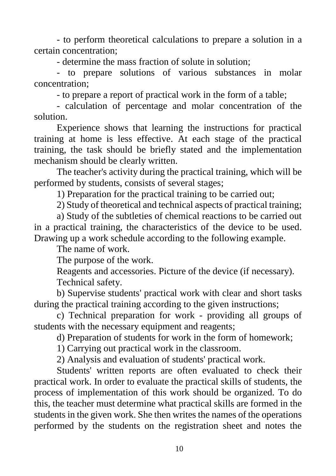- to perform theoretical calculations to prepare a solution in a certain concentration;

- determine the mass fraction of solute in solution;

- to prepare solutions of various substances in molar concentration;

- to prepare a report of practical work in the form of a table;

- calculation of percentage and molar concentration of the solution.

Experience shows that learning the instructions for practical training at home is less effective. At each stage of the practical training, the task should be briefly stated and the implementation mechanism should be clearly written.

The teacher's activity during the practical training, which will be performed by students, consists of several stages;

1) Preparation for the practical training to be carried out;

2) Study of theoretical and technical aspects of practical training;

a) Study of the subtleties of chemical reactions to be carried out in a practical training, the characteristics of the device to be used. Drawing up a work schedule according to the following example.

The name of work.

The purpose of the work.

Reagents and accessories. Picture of the device (if necessary). Technical safety.

b) Supervise students' practical work with clear and short tasks during the practical training according to the given instructions;

c) Technical preparation for work - providing all groups of students with the necessary equipment and reagents;

d) Preparation of students for work in the form of homework;

1) Carrying out practical work in the classroom.

2) Analysis and evaluation of students' practical work.

Students' written reports are often evaluated to check their practical work. In order to evaluate the practical skills of students, the process of implementation of this work should be organized. To do this, the teacher must determine what practical skills are formed in the students in the given work. She then writes the names of the operations performed by the students on the registration sheet and notes the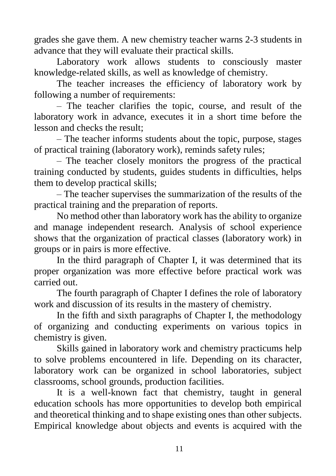grades she gave them. A new chemistry teacher warns 2-3 students in advance that they will evaluate their practical skills.

Laboratory work allows students to consciously master knowledge-related skills, as well as knowledge of chemistry.

The teacher increases the efficiency of laboratory work by following a number of requirements:

– The teacher clarifies the topic, course, and result of the laboratory work in advance, executes it in a short time before the lesson and checks the result;

– The teacher informs students about the topic, purpose, stages of practical training (laboratory work), reminds safety rules;

– The teacher closely monitors the progress of the practical training conducted by students, guides students in difficulties, helps them to develop practical skills;

– The teacher supervises the summarization of the results of the practical training and the preparation of reports.

No method other than laboratory work has the ability to organize and manage independent research. Analysis of school experience shows that the organization of practical classes (laboratory work) in groups or in pairs is more effective.

In the third paragraph of Chapter I, it was determined that its proper organization was more effective before practical work was carried out.

The fourth paragraph of Chapter I defines the role of laboratory work and discussion of its results in the mastery of chemistry.

In the fifth and sixth paragraphs of Chapter I, the methodology of organizing and conducting experiments on various topics in chemistry is given.

Skills gained in laboratory work and chemistry practicums help to solve problems encountered in life. Depending on its character, laboratory work can be organized in school laboratories, subject classrooms, school grounds, production facilities.

It is a well-known fact that chemistry, taught in general education schools has more opportunities to develop both empirical and theoretical thinking and to shape existing ones than other subjects. Empirical knowledge about objects and events is acquired with the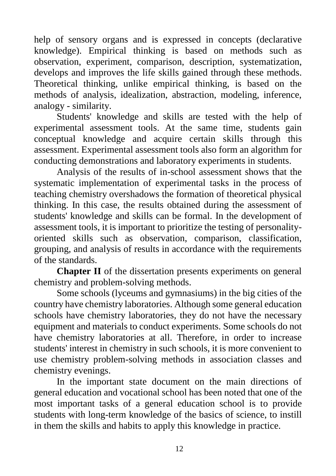help of sensory organs and is expressed in concepts (declarative knowledge). Empirical thinking is based on methods such as observation, experiment, comparison, description, systematization, develops and improves the life skills gained through these methods. Theoretical thinking, unlike empirical thinking, is based on the methods of analysis, idealization, abstraction, modeling, inference, analogy - similarity.

Students' knowledge and skills are tested with the help of experimental assessment tools. At the same time, students gain conceptual knowledge and acquire certain skills through this assessment. Experimental assessment tools also form an algorithm for conducting demonstrations and laboratory experiments in students.

Analysis of the results of in-school assessment shows that the systematic implementation of experimental tasks in the process of teaching chemistry overshadows the formation of theoretical physical thinking. In this case, the results obtained during the assessment of students' knowledge and skills can be formal. In the development of assessment tools, it is important to prioritize the testing of personalityoriented skills such as observation, comparison, classification, grouping, and analysis of results in accordance with the requirements of the standards.

**Chapter II** of the dissertation presents experiments on general chemistry and problem-solving methods.

Some schools (lyceums and gymnasiums) in the big cities of the country have chemistry laboratories. Although some general education schools have chemistry laboratories, they do not have the necessary equipment and materials to conduct experiments. Some schools do not have chemistry laboratories at all. Therefore, in order to increase students' interest in chemistry in such schools, it is more convenient to use chemistry problem-solving methods in association classes and chemistry evenings.

In the important state document on the main directions of general education and vocational school has been noted that one of the most important tasks of a general education school is to provide students with long-term knowledge of the basics of science, to instill in them the skills and habits to apply this knowledge in practice.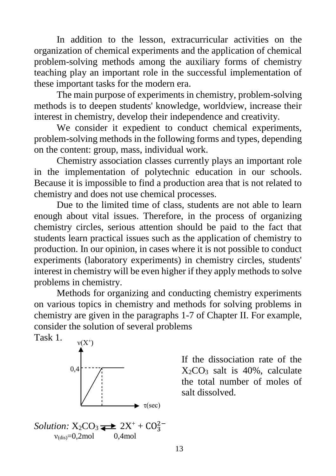In addition to the lesson, extracurricular activities on the organization of chemical experiments and the application of chemical problem-solving methods among the auxiliary forms of chemistry teaching play an important role in the successful implementation of these important tasks for the modern era.

The main purpose of experiments in chemistry, problem-solving methods is to deepen students' knowledge, worldview, increase their interest in chemistry, develop their independence and creativity.

We consider it expedient to conduct chemical experiments, problem-solving methods in the following forms and types, depending on the content: group, mass, individual work.

Chemistry association classes currently plays an important role in the implementation of polytechnic education in our schools. Because it is impossible to find a production area that is not related to chemistry and does not use chemical processes.

Due to the limited time of class, students are not able to learn enough about vital issues. Therefore, in the process of organizing chemistry circles, serious attention should be paid to the fact that students learn practical issues such as the application of chemistry to production. In our opinion, in cases where it is not possible to conduct experiments (laboratory experiments) in chemistry circles, students' interest in chemistry will be even higher if they apply methods to solve problems in chemistry.

Methods for organizing and conducting chemistry experiments on various topics in chemistry and methods for solving problems in chemistry are given in the paragraphs 1-7 of Chapter II. For example, consider the solution of several problems



If the dissociation rate of the  $X<sub>2</sub>CO<sub>3</sub>$  salt is 40%, calculate the total number of moles of salt dissolved.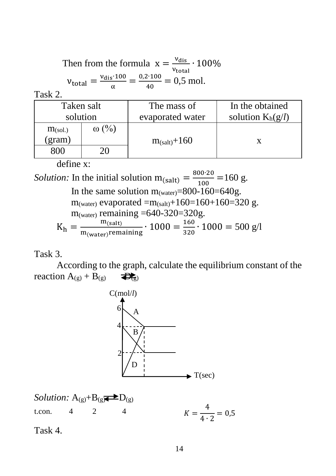Then from the formula  $x = \frac{v_{\text{dis}}}{v}$  $\frac{v_{\text{dis}}}{v_{\text{total}}} \cdot 100\%$  $v_{dis}$  100 = 0,2∙100

$$
v_{\text{total}} = \frac{v_{\text{dis}} \cdot 100}{\alpha} = \frac{0.2 \cdot 100}{40} = 0.5 \text{ mol.}
$$

Task 2.

| Taken salt          |              | The mass of        | In the obtained     |  |
|---------------------|--------------|--------------------|---------------------|--|
| solution            |              | evaporated water   | solution $K_h(g/l)$ |  |
| m <sub>(sol.)</sub> | $\omega$ (%) |                    |                     |  |
| gram)               |              | $m_{(salt)} + 160$ |                     |  |
| 300                 |              |                    |                     |  |

define x:

*Solution:* In the initial solution  $m_{\text{(salt)}} = \frac{800 \cdot 20}{100}$  $\frac{100 \times 10}{100} = 160 \text{ g}.$ In the same solution  $m_{(water)} = 800 - 160 = 640g$ . m<sub>(water)</sub> evaporated =m<sub>(salt)</sub>+160=160+160=320 g.  $m_{(water)}$  remaining =640-320=320g.  $K_h = \frac{m_{\text{(salt)}}}{m_{\text{(right)}}$  $\frac{m_{\text{(salt)}}}{m_{\text{(water)}}$ remaining  $\cdot 1000 = \frac{160}{320}$  $\frac{100}{320} \cdot 1000 = 500$  g/l

#### Task 3.

According to the graph, calculate the equilibrium constant of the reaction  $A_{(g)} + B_{(g)}$   $\overrightarrow{B_{(g)}}$ 



Solution: A<sub>(g)</sub>+B<sub>(g</sub>)
$$
\longrightarrow
$$
 D<sub>(g)</sub>  
\nt.com. 4 2 4  $K = \frac{4}{4 \cdot 2} = 0.5$ 

Task 4.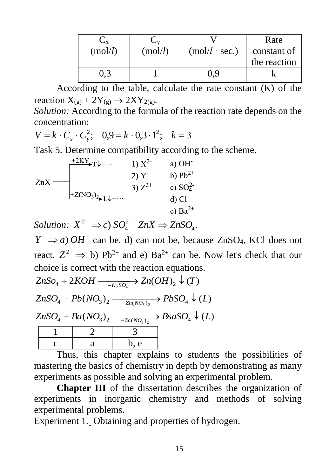| Сx      | Ü٧      |                      | Rate         |
|---------|---------|----------------------|--------------|
| (mol/l) | (mol/l) | $(mol/l \cdot sec.)$ | constant of  |
|         |         |                      | the reaction |
|         |         | 0.9                  |              |

According to the table, calculate the rate constant (K) of the reaction  $X_{(g)}$  + 2Y $_{(g)} \rightarrow 2XY_{2(g)}$ .

*Solution:* According to the formula of the reaction rate depends on the concentration:

$$
V = k \cdot C_x \cdot C_y^2; \quad 0.9 = k \cdot 0.3 \cdot 1^2; \quad k = 3
$$

Task 5. Determine compatibility according to the scheme.

|     | $+2KY$ <sub>T</sub> $+$                   | 1) $X^2$    | a) $OH$              |
|-----|-------------------------------------------|-------------|----------------------|
|     |                                           | 2)Y         | b) $Pb^{2+}$         |
| ZnX |                                           | 3) $Z^{2+}$ | c) $SO_4^2$          |
|     | $I^+Z(NO_3)_{2}$ , $L\downarrow + \cdots$ |             | $d)$ Cl <sup>-</sup> |
|     |                                           |             | e) $Ba^{2+}$         |

*Solution:*  $X^{2-} \implies c$ )  $SO_4^{2-}$   $ZnX \implies ZnSO_4$ .

 $Y^- \Rightarrow a$ ) *OH*<sup>-</sup> can be. d) can not be, because ZnSO<sub>4</sub>, KCl does not react.  $Z^{2+} \Rightarrow b$ ) Pb<sup>2+</sup> and e) Ba<sup>2+</sup> can be. Now let's check that our choice is correct with the reaction equations.

 $ZnSO_4 + Ba(NO_3)_2 \longrightarrow BasaSO_4 \downarrow (L)$  $ZnSO_4 + Pb(NO_3)_2 \longrightarrow PbSO_4 \downarrow (L)$  $ZnSo<sub>4</sub> + 2KOH \longrightarrow Zn(OH)<sub>2</sub> \downarrow (T)$  $1 \quad | \quad 2 \quad | \quad 3$ c a b, e

Thus, this chapter explains to students the possibilities of mastering the basics of chemistry in depth by demonstrating as many experiments as possible and solving an experimental problem.

**Chapter III** of the dissertation describes the organization of experiments in inorganic chemistry and methods of solving experimental problems.

Experiment 1. Obtaining and properties of hydrogen.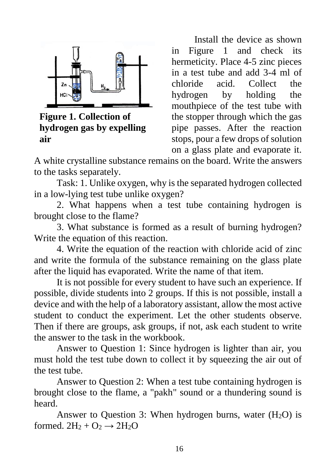

**Figure 1. Collection of hydrogen gas by expelling air**

Install the device as shown in Figure 1 and check its hermeticity. Place 4-5 zinc pieces in a test tube and add 3-4 ml of chloride acid. Collect the hydrogen by holding the mouthpiece of the test tube with the stopper through which the gas pipe passes. After the reaction stops, pour a few drops of solution on a glass plate and evaporate it.

A white crystalline substance remains on the board. Write the answers to the tasks separately.

Task: 1. Unlike oxygen, why is the separated hydrogen collected in a low-lying test tube unlike oxygen?

2. What happens when a test tube containing hydrogen is brought close to the flame?

3. What substance is formed as a result of burning hydrogen? Write the equation of this reaction.

4. Write the equation of the reaction with chloride acid of zinc and write the formula of the substance remaining on the glass plate after the liquid has evaporated. Write the name of that item.

It is not possible for every student to have such an experience. If possible, divide students into 2 groups. If this is not possible, install a device and with the help of a laboratory assistant, allow the most active student to conduct the experiment. Let the other students observe. Then if there are groups, ask groups, if not, ask each student to write the answer to the task in the workbook.

Answer to Question 1: Since hydrogen is lighter than air, you must hold the test tube down to collect it by squeezing the air out of the test tube.

Answer to Question 2: When a test tube containing hydrogen is brought close to the flame, a "pakh" sound or a thundering sound is heard.

Answer to Question 3: When hydrogen burns, water  $(H_2O)$  is formed.  $2H_2 + O_2 \rightarrow 2H_2O$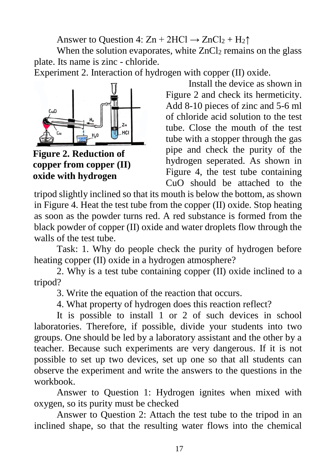Answer to Question 4:  $Zn + 2HCl \rightarrow ZnCl_2 + H_2\uparrow$ 

When the solution evaporates, white  $ZnCl<sub>2</sub>$  remains on the glass plate. Its name is zinc - chloride.

Experiment 2. Interaction of hydrogen with copper (II) oxide.



**Figure 2. Reduction of copper from copper (II) oxide with hydrogen**

Install the device as shown in Figure 2 and check its hermeticity. Add 8-10 pieces of zinc and 5-6 ml of chloride acid solution to the test tube. Close the mouth of the test tube with a stopper through the gas pipe and check the purity of the hydrogen seperated. As shown in Figure 4, the test tube containing CuO should be attached to the

tripod slightly inclined so that its mouth is below the bottom, as shown in Figure 4. Heat the test tube from the copper (II) oxide. Stop heating as soon as the powder turns red. A red substance is formed from the black powder of copper (II) oxide and water droplets flow through the walls of the test tube.

Task: 1. Why do people check the purity of hydrogen before heating copper (II) oxide in a hydrogen atmosphere?

2. Why is a test tube containing copper (II) oxide inclined to a tripod?

3. Write the equation of the reaction that occurs.

4. What property of hydrogen does this reaction reflect?

It is possible to install 1 or 2 of such devices in school laboratories. Therefore, if possible, divide your students into two groups. One should be led by a laboratory assistant and the other by a teacher. Because such experiments are very dangerous. If it is not possible to set up two devices, set up one so that all students can observe the experiment and write the answers to the questions in the workbook.

Answer to Question 1: Hydrogen ignites when mixed with oxygen, so its purity must be checked

Answer to Question 2: Attach the test tube to the tripod in an inclined shape, so that the resulting water flows into the chemical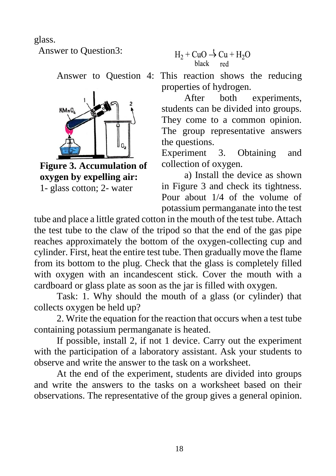glass.

Answer to Question3:



**Figure 3. Accumulation of oxygen by expelling air:** 

1- glass cotton; 2- water

$$
H_2 + CuO \stackrel{t}{\rightarrow} Cu + H_2O
$$

Answer to Question 4: This reaction shows the reducing properties of hydrogen.

> After both experiments, students can be divided into groups. They come to a common opinion. The group representative answers the questions.

> Experiment 3. Obtaining and collection of oxygen.

> a) Install the device as shown in Figure 3 and check its tightness. Pour about 1/4 of the volume of potassium permanganate into the test

tube and place a little grated cotton in the mouth of the test tube. Attach the test tube to the claw of the tripod so that the end of the gas pipe reaches approximately the bottom of the oxygen-collecting cup and cylinder. First, heat the entire test tube. Then gradually move the flame from its bottom to the plug. Check that the glass is completely filled with oxygen with an incandescent stick. Cover the mouth with a cardboard or glass plate as soon as the jar is filled with oxygen.

Task: 1. Why should the mouth of a glass (or cylinder) that collects oxygen be held up?

2. Write the equation for the reaction that occurs when a test tube containing potassium permanganate is heated.

If possible, install 2, if not 1 device. Carry out the experiment with the participation of a laboratory assistant. Ask your students to observe and write the answer to the task on a worksheet.

At the end of the experiment, students are divided into groups and write the answers to the tasks on a worksheet based on their observations. The representative of the group gives a general opinion.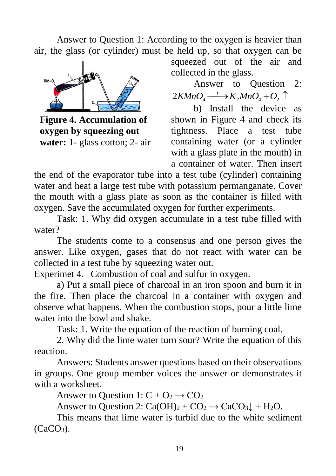Answer to Question 1: According to the oxygen is heavier than air, the glass (or cylinder) must be held up, so that oxygen can be



**Figure 4. Accumulation of oxygen by squeezing out water:** 1- glass cotton; 2- air

squeezed out of the air and collected in the glass.

Answer to Question 2:  $2KMnO_4 \longrightarrow K_2MnO_4 + O_2 \uparrow$ 

b) Install the device as shown in Figure 4 and check its tightness. Place a test tube containing water (or a cylinder with a glass plate in the mouth) in a container of water. Then insert

the end of the evaporator tube into a test tube (cylinder) containing water and heat a large test tube with potassium permanganate. Cover the mouth with a glass plate as soon as the container is filled with oxygen. Save the accumulated oxygen for further experiments.

Task: 1. Why did oxygen accumulate in a test tube filled with water?

The students come to a consensus and one person gives the answer. Like oxygen, gases that do not react with water can be collected in a test tube by squeezing water out.

Experimet 4. Combustion of coal and sulfur in oxygen.

a) Put a small piece of charcoal in an iron spoon and burn it in the fire. Then place the charcoal in a container with oxygen and observe what happens. When the combustion stops, pour a little lime water into the bowl and shake.

Task: 1. Write the equation of the reaction of burning coal.

2. Why did the lime water turn sour? Write the equation of this reaction.

Answers: Students answer questions based on their observations in groups. One group member voices the answer or demonstrates it with a worksheet.

Answer to Question 1:  $C + O_2 \rightarrow CO_2$ 

Answer to Question 2:  $Ca(OH)_2 + CO_2 \rightarrow CaCO_3 \downarrow + H_2O$ .

This means that lime water is turbid due to the white sediment  $(CaCO<sub>3</sub>)$ .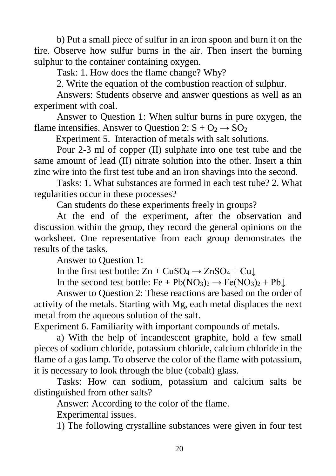b) Put a small piece of sulfur in an iron spoon and burn it on the fire. Observe how sulfur burns in the air. Then insert the burning sulphur to the container containing oxygen.

Task: 1. How does the flame change? Why?

2. Write the equation of the combustion reaction of sulphur.

Answers: Students observe and answer questions as well as an experiment with coal.

Answer to Question 1: When sulfur burns in pure oxygen, the flame intensifies. Answer to Question 2:  $S + Q_2 \rightarrow SQ_2$ 

Experiment 5. Interaction of metals with salt solutions.

Pour 2-3 ml of copper (II) sulphate into one test tube and the same amount of lead (II) nitrate solution into the other. Insert a thin zinc wire into the first test tube and an iron shavings into the second.

Tasks: 1. What substances are formed in each test tube? 2. What regularities occur in these processes?

Can students do these experiments freely in groups?

At the end of the experiment, after the observation and discussion within the group, they record the general opinions on the worksheet. One representative from each group demonstrates the results of the tasks.

Answer to Question 1:

In the first test bottle:  $Zn + CuSO_4 \rightarrow ZnSO_4 + Cu\downarrow$ 

In the second test bottle:  $Fe + Pb(NO_3)_2 \rightarrow Fe(NO_3)_2 + Pb \downarrow$ 

Answer to Question 2: These reactions are based on the order of activity of the metals. Starting with Mg, each metal displaces the next metal from the aqueous solution of the salt.

Experiment 6. Familiarity with important compounds of metals.

a) With the help of incandescent graphite, hold a few small pieces of sodium chloride, potassium chloride, calcium chloride in the flame of a gas lamp. To observe the color of the flame with potassium, it is necessary to look through the blue (cobalt) glass.

Tasks: How can sodium, potassium and calcium salts be distinguished from other salts?

Answer: According to the color of the flame.

Experimental issues.

1) The following crystalline substances were given in four test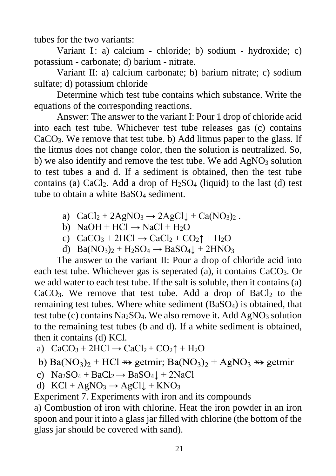tubes for the two variants:

Variant I,: a) calcium - chloride; b) sodium - hydroxide; c) potassium - carbonate; d) barium - nitrate.

Variant II: a) calcium carbonate; b) barium nitrate; c) sodium sulfate; d) potassium chloride

Determine which test tube contains which substance. Write the equations of the corresponding reactions.

Answer: The answer to the variant I: Pour 1 drop of chloride acid into each test tube. Whichever test tube releases gas (c) contains CaCO3. We remove that test tube. b) Add litmus paper to the glass. If the litmus does not change color, then the solution is neutralized. So, b) we also identify and remove the test tube. We add  $AgNO<sub>3</sub>$  solution to test tubes a and d. If a sediment is obtained, then the test tube contains (a) CaCl<sub>2</sub>. Add a drop of  $H_2SO_4$  (liquid) to the last (d) test tube to obtain a white BaSO<sub>4</sub> sediment.

- a)  $CaCl<sub>2</sub> + 2AgNO<sub>3</sub> \rightarrow 2AgCl<sub>4</sub> + Ca(NO<sub>3</sub>)<sub>2</sub>$ .
- b)  $NaOH + HCl \rightarrow NaCl + H<sub>2</sub>O$
- c)  $CaCO<sub>3</sub> + 2HCl \rightarrow CaCl<sub>2</sub> + CO<sub>2</sub> \uparrow + H<sub>2</sub>O$
- d)  $Ba(NO_3)_2 + H_2SO_4 \rightarrow BaSO_4 \downarrow + 2HNO_3$

The answer to the variant II: Pour a drop of chloride acid into each test tube. Whichever gas is seperated (a), it contains  $CaCO<sub>3</sub>$ . Or we add water to each test tube. If the salt is soluble, then it contains (a)  $CaCO<sub>3</sub>$ . We remove that test tube. Add a drop of BaCl<sub>2</sub> to the remaining test tubes. Where white sediment (BaSO4) is obtained, that test tube (c) contains  $Na<sub>2</sub>SO<sub>4</sub>$ . We also remove it. Add AgNO<sub>3</sub> solution to the remaining test tubes (b and d). If a white sediment is obtained, then it contains (d) KCl.

a)  $CaCO<sub>3</sub> + 2HCl \rightarrow CaCl<sub>2</sub> + CO<sub>2</sub> + H<sub>2</sub>O$ 

b) Ba(NO<sub>3</sub>)<sub>2</sub> + HCl  $\rightarrow$  getmir; Ba(NO<sub>3</sub>)<sub>2</sub> + AgNO<sub>3</sub>  $\rightarrow$  getmir

- c)  $\text{Na}_2\text{SO}_4 + \text{BaCl}_2 \rightarrow \text{BaSO}_4\downarrow + 2\text{NaCl}$
- d)  $KCl + AgNO<sub>3</sub> \rightarrow AgCl \downarrow + KNO<sub>3</sub>$

Experiment 7. Experiments with iron and its compounds

a) Combustion of iron with chlorine. Heat the iron powder in an iron spoon and pour it into a glass jar filled with chlorine (the bottom of the glass jar should be covered with sand).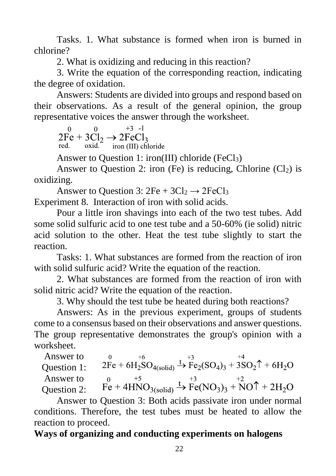Tasks. 1. What substance is formed when iron is burned in chlorine?

2. What is oxidizing and reducing in this reaction?

3. Write the equation of the corresponding reaction, indicating the degree of oxidation.

Answers: Students are divided into groups and respond based on their observations. As a result of the general opinion, the group representative voices the answer through the worksheet.

 $+3 -1$ 

 Answer to Question 1: iron(III) chloride (FeCl<sub>3</sub>)

Answer to Question 2: iron (Fe) is reducing, Chlorine  $(Cl<sub>2</sub>)$  is oxidizing.

Answer to Question 3:  $2Fe + 3Cl_2 \rightarrow 2FeCl_3$ Experiment 8. Interaction of iron with solid acids.

Pour a little iron shavings into each of the two test tubes. Add some solid sulfuric acid to one test tube and a 50-60% (ie solid) nitric acid solution to the other. Heat the test tube slightly to start the reaction.

Tasks: 1. What substances are formed from the reaction of iron with solid sulfuric acid? Write the equation of the reaction.

2. What substances are formed from the reaction of iron with solid nitric acid? Write the equation of the reaction.

3. Why should the test tube be heated during both reactions?

Answers: As in the previous experiment, groups of students come to a consensus based on their observations and answer questions. The group representative demonstrates the group's opinion with a worksheet.

 $+6$ Answer to  $2Fe + 6H_2SO_{4(solid)} \xrightarrow{+3} Fe_2(SO_4)_3 + 3SO_2\uparrow + 6H_2O$ Question 1:  $r_{\rm e}^{0}$  + 4HNO<sub>3(solid)</sub>  $\stackrel{+3}{\rightarrow}$  Fe(NO<sub>3</sub>)<sub>3</sub> + NO<sup>†</sup> + 2H<sub>2</sub>O Answer to Question 2:

Answer to Question 3: Both acids passivate iron under normal conditions. Therefore, the test tubes must be heated to allow the reaction to proceed.

## **Ways of organizing and conducting experiments on halogens**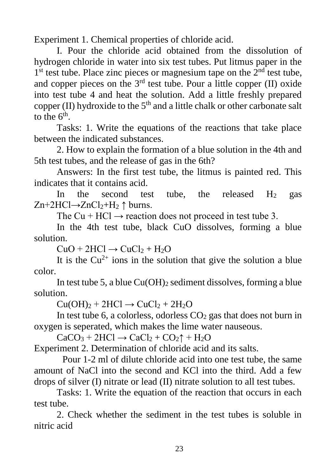Experiment 1. Chemical properties of chloride acid.

I. Pour the chloride acid obtained from the dissolution of hydrogen chloride in water into six test tubes. Put litmus paper in the 1<sup>st</sup> test tube. Place zinc pieces or magnesium tape on the 2<sup>nd</sup> test tube, and copper pieces on the  $3<sup>rd</sup>$  test tube. Pour a little copper (II) oxide into test tube 4 and heat the solution. Add a little freshly prepared copper (II) hydroxide to the  $5<sup>th</sup>$  and a little chalk or other carbonate salt to the  $6<sup>th</sup>$ .

Tasks: 1. Write the equations of the reactions that take place between the indicated substances.

2. How to explain the formation of a blue solution in the 4th and 5th test tubes, and the release of gas in the 6th?

Answers: In the first test tube, the litmus is painted red. This indicates that it contains acid.

In the second test tube, the released  $H_2$  gas  $Zn+2HCl \rightarrow ZnCl_2+H_2 \uparrow$  burns.

The Cu + HCl  $\rightarrow$  reaction does not proceed in test tube 3.

In the 4th test tube, black CuO dissolves, forming a blue solution.

 $CuO + 2HCl \rightarrow CuCl<sub>2</sub> + H<sub>2</sub>O$ 

It is the  $Cu^{2+}$  ions in the solution that give the solution a blue color.

In test tube 5, a blue  $Cu(OH)_2$  sediment dissolves, forming a blue solution.

 $Cu(OH)<sub>2</sub> + 2HCl \rightarrow CuCl<sub>2</sub> + 2H<sub>2</sub>O$ 

In test tube 6, a colorless, odorless  $CO<sub>2</sub>$  gas that does not burn in oxygen is seperated, which makes the lime water nauseous.

 $CaCO<sub>3</sub> + 2HCl \rightarrow CaCl<sub>2</sub> + CO<sub>2</sub> \uparrow + H<sub>2</sub>O$ 

Experiment 2. Determination of chloride acid and its salts.

Pour 1-2 ml of dilute chloride acid into one test tube, the same amount of NaCl into the second and KCl into the third. Add a few drops of silver (I) nitrate or lead (II) nitrate solution to all test tubes.

Tasks: 1. Write the equation of the reaction that occurs in each test tube.

2. Check whether the sediment in the test tubes is soluble in nitric acid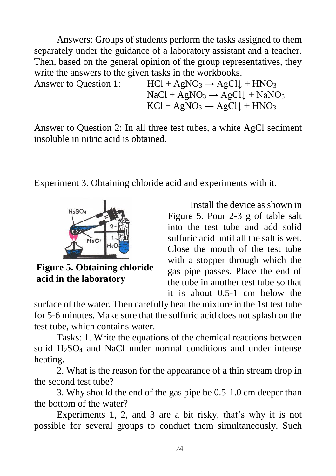Answers: Groups of students perform the tasks assigned to them separately under the guidance of a laboratory assistant and a teacher. Then, based on the general opinion of the group representatives, they write the answers to the given tasks in the workbooks.

Answer to Question 1:  $HCl + AgNO_3 \rightarrow AgCl \downarrow + HNO_3$  $NaCl + AgNO<sub>3</sub> \rightarrow AgCl \downarrow + NaNO<sub>3</sub>$  $KCl + AgNO<sub>3</sub> \rightarrow AgCl \downarrow + HNO<sub>3</sub>$ 

Answer to Question 2: In all three test tubes, a white AgCl sediment insoluble in nitric acid is obtained.

Experiment 3. Obtaining chloride acid and experiments with it.



**Figure 5. Obtaining chloride acid in the laboratory**

Install the device as shown in Figure 5. Pour 2-3 g of table salt into the test tube and add solid sulfuric acid until all the salt is wet. Close the mouth of the test tube with a stopper through which the gas pipe passes. Place the end of the tube in another test tube so that it is about 0.5-1 cm below the

surface of the water. Then carefully heat the mixture in the 1st test tube for 5-6 minutes. Make sure that the sulfuric acid does not splash on the test tube, which contains water.

Tasks: 1. Write the equations of the chemical reactions between solid H2SO<sup>4</sup> and NaCl under normal conditions and under intense heating.

2. What is the reason for the appearance of a thin stream drop in the second test tube?

3. Why should the end of the gas pipe be 0.5-1.0 cm deeper than the bottom of the water?

Experiments 1, 2, and 3 are a bit risky, that's why it is not possible for several groups to conduct them simultaneously. Such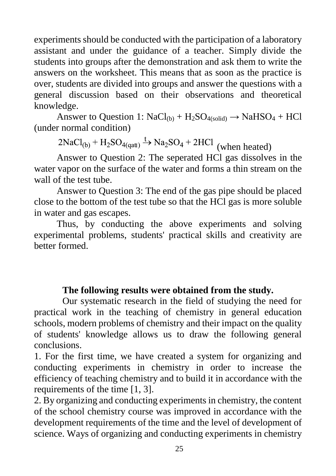experiments should be conducted with the participation of a laboratory assistant and under the guidance of a teacher. Simply divide the students into groups after the demonstration and ask them to write the answers on the worksheet. This means that as soon as the practice is over, students are divided into groups and answer the questions with a general discussion based on their observations and theoretical knowledge.

Answer to Question 1:  $NaCl<sub>(b)</sub> + H<sub>2</sub>SO<sub>4(solid)</sub> \rightarrow NaHSO<sub>4</sub> + HCl$ (under normal condition)

 $2NaCl_{(b)} + H_2SO_{4(qat)} \xrightarrow{t} Na_2SO_4 + 2HCl$  (when heated)

Answer to Question 2: The seperated HCl gas dissolves in the water vapor on the surface of the water and forms a thin stream on the wall of the test tube.

Answer to Question 3: The end of the gas pipe should be placed close to the bottom of the test tube so that the HCl gas is more soluble in water and gas escapes.

Thus, by conducting the above experiments and solving experimental problems, students' practical skills and creativity are better formed.

#### **The following results were obtained from the study.**

Our systematic research in the field of studying the need for practical work in the teaching of chemistry in general education schools, modern problems of chemistry and their impact on the quality of students' knowledge allows us to draw the following general conclusions.

1. For the first time, we have created a system for organizing and conducting experiments in chemistry in order to increase the efficiency of teaching chemistry and to build it in accordance with the requirements of the time [1, 3].

2. By organizing and conducting experiments in chemistry, the content of the school chemistry course was improved in accordance with the development requirements of the time and the level of development of science. Ways of organizing and conducting experiments in chemistry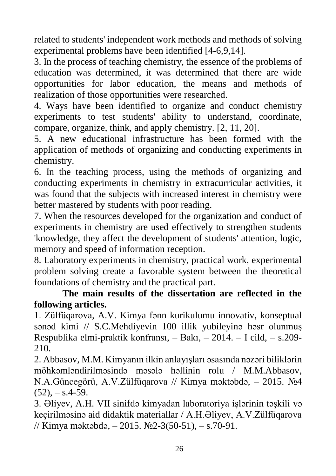related to students' independent work methods and methods of solving experimental problems have been identified [4-6,9,14].

3. In the process of teaching chemistry, the essence of the problems of education was determined, it was determined that there are wide opportunities for labor education, the means and methods of realization of those opportunities were researched.

4. Ways have been identified to organize and conduct chemistry experiments to test students' ability to understand, coordinate, compare, organize, think, and apply chemistry. [2, 11, 20].

5. A new educational infrastructure has been formed with the application of methods of organizing and conducting experiments in chemistry.

6. In the teaching process, using the methods of organizing and conducting experiments in chemistry in extracurricular activities, it was found that the subjects with increased interest in chemistry were better mastered by students with poor reading.

7. When the resources developed for the organization and conduct of experiments in chemistry are used effectively to strengthen students 'knowledge, they affect the development of students' attention, logic, memory and speed of information reception.

8. Laboratory experiments in chemistry, practical work, experimental problem solving create a favorable system between the theoretical foundations of chemistry and the practical part.

### **The main results of the dissertation are reflected in the following articles.**

1. Zülfüqarova, A.V. Kimya fənn kurikulumu innovativ, konseptual sənəd kimi // S.C.Mehdiyevin 100 illik yubileyinə həsr olunmuş Respublika elmi-praktik konfransı, – Bakı, – 2014. – I cild, – s.209- 210.

2. Abbasov, M.M. Kimyanın ilkin anlayışları əsasında nəzəri biliklərin möhkəmləndirilməsində məsələ həllinin rolu / M.M.Abbasov, N.A.Güncegörü, A.V.Zülfüqarova // Kimya məktəbdə, – 2015. №4  $(52)$ ,  $-$  s.4-59.

3. Əliyev, A.H. VII sinifdə kimyadan laboratoriya işlərinin təşkili və keçirilməsinə aid didaktik materiallar / A.H.Əliyev, A.V.Zülfüqarova // Kimya məktəbdə, – 2015. №2-3(50-51), – s.70-91.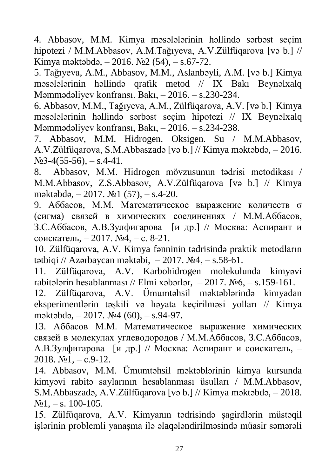4. Abbasov, M.M. Kimya məsələlərinin həllində sərbəst seçim hipotezi / M.M.Abbasov, A.M.Tağıyeva, A.V.Zülfüqarova [və b.] // Kimya məktəbdə, – 2016. №2 (54), – s.67-72.

5. Tağıyeva, A.M., Abbasov, M.M., Aslanbəyli, A.M. [və b.] Kimya məsələlərinin həllində qrafik metod // IX Bakı Beynəlxalq Məmmədəliyev konfransı. Bakı, – 2016. – s.230-234.

6. Abbasov, M.M., Tağıyeva, A.M., Zülfüqarova, A.V. [və b.] Kimya məsələlərinin həllində sərbəst seçim hipotezi // IX Beynəlxalq Məmmədəliyev konfransı, Bakı, – 2016. – s.234-238.

7. Abbasov, M.M. Hidrogen. Oksigen. Su / M.M.Abbasov, A.V.Zülfüqarova, S.M.Abbaszadə [və b.] // Kimya məktəbdə, – 2016.  $N<sub>2</sub>3-4(55-56)$ , – s.4-41.

8. Abbasov, M.M. Hidrogen mövzusunun tədrisi metodikası / M.M.Abbasov, Z.S.Abbasov, A.V.Zülfüqarova [və b.] // Kimya məktəbdə, – 2017. №1 (57), – s.4-20.

9. Аббасов, М.М. Математическое выражение количеств σ (сигма) связей в химических соединениях / М.М.Аббасов, З.С.Аббасов, А.В.Зулфигарова [и др.] // Москва: Аспирант и соискатель, – 2017. №4, – с. 8-21.

10. Zülfüqarova, A.V. Kimya fənninin tədrisində praktik metodların tətbiqi // Azərbaycan məktəbi,  $-2017$ .  $\text{Ne}4$ ,  $-$  s.58-61.

11. Zülfüqarova, A.V. Karbohidrogen molekulunda kimyəvi rabitələrin hesablanması // Elmi xəbərlər,  $-2017$ .  $\text{Ne6}$ ,  $-$  s.159-161.

12. Zülfüqarova, A.V. Ümumtəhsil məktəblərində kimyadan eksperimentlərin təşkili və həyata keçirilməsi yolları // Kimya məktəbdə, – 2017. №4 (60), – s.94-97.

13. Аббасов М.М. Математическое выражение химических связей в молекулах углеводородов / М.М.Аббасов, З.С.Аббасов, А.В.Зулфигарова [и др.] // Москва: Аспирант и соискатель, – 2018.  $N_2$ 1, – c.9-12.

14. Abbasov, M.M. Ümumtəhsil məktəblərinin kimya kursunda kimyəvi rabitə saylarının hesablanması üsulları / M.M.Abbasov, S.M.Abbaszadə, A.V.Zülfüqarova [və b.] // Kimya məktəbdə, – 2018.  $N_2$ 1, – s. 100-105.

15. Zülfüqarova, A.V. Kimyanın tədrisində şagirdlərin müstəqil işlərinin problemli yanaşma ilə əlaqələndirilməsində müasir səmərəli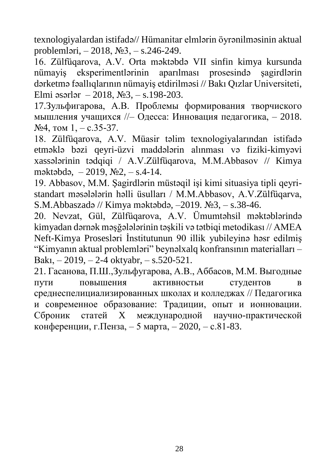texnologiyalardan istifadə// Hümanitar elmlərin öyrənilməsinin aktual problemləri, – 2018, №3, – s.246-249.

16. Zülfüqarova, A.V. Orta məktəbdə VII sinfin kimya kursunda nümayiş eksperimentlərinin aparılması prosesində şagirdlərin dərketmə fəallıqlarının nümayiş etdirilməsi // Bakı Qızlar Universiteti, Elmi əsərlər – 2018,  $N_2$ 3, – s.198-203.

17.Зульфигарова, А.В. Проблемы формирования творчиского мышления учащихся //– Одесса: Инновация педагогика, – 2018.  $N<sub>2</sub>4$ , том 1, - c.35-37.

18. Zülfüqarova, A.V. Müasir təlim texnologiyalarından istifadə etməklə bəzi qeyri-üzvi maddələrin alınması və fiziki-kimyəvi xassələrinin tədqiqi / A.V.Zülfüqarova, M.M.Abbasov // Kimya məktəbdə, – 2019, №2, – s.4-14.

19. Abbasov, M.M. Şagirdlərin müstəqil işi kimi situasiya tipli qeyristandart məsələlərin həlli üsulları / M.M.Abbasov, A.V.Zülfüqarva, S.M.Abbaszadə // Kimya məktəbdə, –2019. №3, – s.38-46.

20. Nevzat, Gül, Zülfüqarova, A.V. Ümumtəhsil məktəblərində kimyadan dərnək məşğələlərinin təşkili və tətbiqi metodikası // AMEA Neft-Kimya Prosesləri İnstitutunun 90 illik yubileyinə həsr edilmiş "Kimyanın aktual problemləri" beynəlxalq konfransının materialları – Bakı, – 2019, – 2-4 oktyabr, – s.520-521.

21. Гасанова, П.Ш.,Зульфугарова, А.В., Аббасов, М.М. Выгодные пути повышения активностьи студентов в среднеспелициализированных школах и колледжах // Педагогика и современное образование: Традиции, опыт и ионновации. Сброник статей X международной научно-практической конференции, г.Пенза, – 5 марта, – 2020, – с.81-83.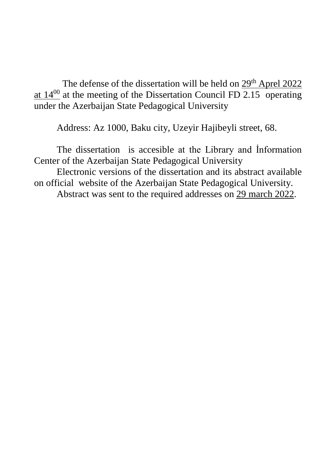The defense of the dissertation will be held on 29<sup>th</sup> Aprel 2022 at  $14^{00}$  at the meeting of the Dissertation Council FD 2.15 operating under the Azerbaijan State Pedagogical University

Address: Az 1000, Baku city, Uzeyir Hajibeyli street, 68.

The dissertation is accesible at the Library and İnformation Center of the Azerbaijan State Pedagogical University Electronic versions of the dissertation and its abstract available on official website of the Azerbaijan State Pedagogical University. Abstract was sent to the required addresses on 29 march 2022.